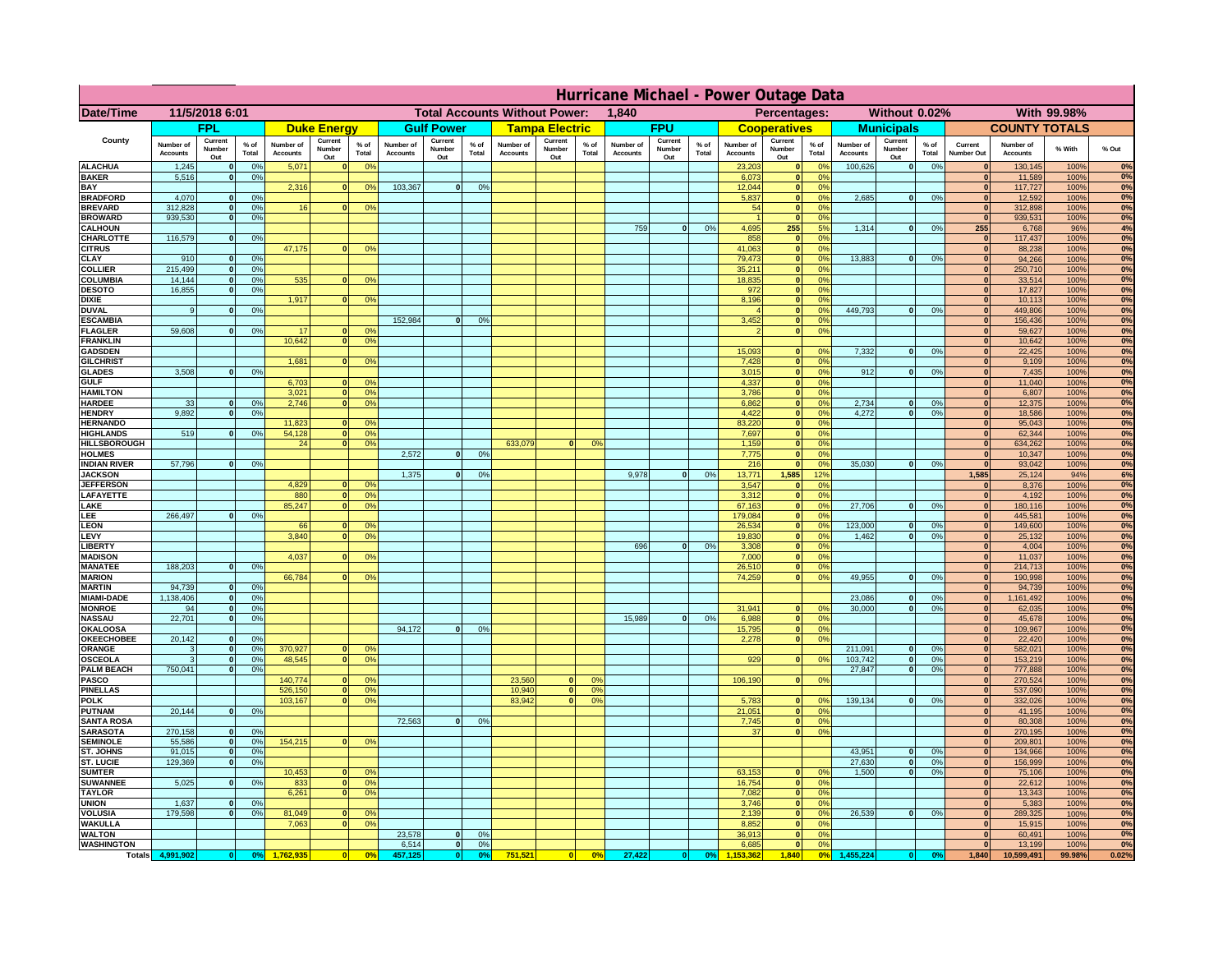|                                         | Hurricane Michael - Power Outage Data |                              |                      |                              |                                 |                                               |                              |                          |                      |                              |                                              |                 |                              |                          |                |                              |                          |                                                |                              |                          |                 |                              |                              |                |             |
|-----------------------------------------|---------------------------------------|------------------------------|----------------------|------------------------------|---------------------------------|-----------------------------------------------|------------------------------|--------------------------|----------------------|------------------------------|----------------------------------------------|-----------------|------------------------------|--------------------------|----------------|------------------------------|--------------------------|------------------------------------------------|------------------------------|--------------------------|-----------------|------------------------------|------------------------------|----------------|-------------|
| Date/Time                               | 11/5/2018 6:01                        |                              |                      |                              |                                 | <b>Total Accounts Without Power:</b><br>1,840 |                              |                          |                      |                              | With 99.98%<br>Percentages:<br>Without 0.02% |                 |                              |                          |                |                              |                          |                                                |                              |                          |                 |                              |                              |                |             |
|                                         |                                       | <b>FPL</b>                   |                      |                              | <b>Duke Energy</b>              |                                               |                              | <b>Gulf Power</b>        |                      |                              | <b>Tampa Electric</b>                        |                 |                              | <b>FPU</b>               |                |                              | <b>Cooperatives</b>      |                                                |                              | <b>Municipals</b>        |                 |                              | <b>COUNTY TOTALS</b>         |                |             |
| County                                  | Number of<br><b>Accounts</b>          | Current<br>Number<br>Out     | $%$ of<br>Total      | Number of<br><b>Accounts</b> | Current<br><b>Number</b><br>Out | $%$ of<br>Total                               | Number of<br><b>Accounts</b> | Current<br>Number<br>Out | $%$ of<br>Total      | Number of<br><b>Accounts</b> | Current<br>Number<br>Out                     | $%$ of<br>Total | Number of<br><b>Accounts</b> | Current<br>Number<br>Out | % of<br>Total  | Number of<br><b>Accounts</b> | Current<br>Number<br>Out | $%$ of<br><b>Total</b>                         | Number of<br><b>Accounts</b> | Current<br>Number<br>Out | $%$ of<br>Total | Current<br>Number Out        | Number of<br><b>Accounts</b> | % With         | % Out       |
| <b>ALACHUA</b><br><b>BAKER</b>          | 1,245<br>5,516                        | $\mathbf{0}$<br>$\mathbf{0}$ | 0%<br>0%             | 5,071                        |                                 | 0 <sup>9</sup>                                |                              |                          |                      |                              |                                              |                 |                              |                          |                | 23,203<br>6,073              | $\bf{0}$                 | $^{\circ}$<br>$\mathbf{0}$<br>0 <sup>9</sup>   | 100,626                      | 0                        | 0%              | $\Omega$<br>$\mathbf{0}$     | 130,145<br>11,589            | 100%<br>100%   | 0%<br>0%    |
| BAY                                     |                                       |                              |                      | 2,316                        | $\Omega$                        | 0%                                            | 103,367                      | 0                        | 0%                   |                              |                                              |                 |                              |                          |                | 12,044                       |                          | 0 <sup>9</sup><br> 0                           |                              |                          |                 | $\mathbf{0}$                 | 117,727                      | 100%           | 0%          |
| <b>BRADFORD</b><br><b>BREVARD</b>       | 4,070<br>312.828                      | $\Omega$<br>$\mathbf{0}$     | 0%<br>0 <sup>9</sup> | 16                           |                                 | 0 <sup>o</sup>                                |                              |                          |                      |                              |                                              |                 |                              |                          |                | 5,837<br>54                  |                          | 0%<br> 0 <br> 0 <br>0 <sup>9</sup>             | 2,685                        | 0                        | 0%              | $\Omega$<br>$\mathbf{0}$     | 12,592<br>312,898            | 100%<br>100%   | 0%<br>0%    |
| <b>BROWARD</b>                          | 939.530                               | $\mathbf{0}$                 | 0%                   |                              |                                 |                                               |                              |                          |                      |                              |                                              |                 |                              |                          |                |                              |                          | 0 <br>0%                                       |                              |                          |                 | 0                            | 939,531                      | 100%           | 0%          |
| <b>CALHOUN</b><br>CHARLOTTE             | 116,579                               | $\mathbf{0}$                 | 0%                   |                              |                                 |                                               |                              |                          |                      |                              |                                              |                 | 759                          | 0                        | 0%             | 4,695<br>858                 | 255                      | 5%<br>0%<br> 0                                 | 1,314                        | 0                        | 0%              | 255<br> 0                    | 6,768<br>117,437             | 96%<br>100%    | 4%<br>0%    |
| <b>CITRUS</b>                           |                                       |                              |                      | 47,175                       |                                 | 0 <sup>o</sup>                                |                              |                          |                      |                              |                                              |                 |                              |                          |                | 41.063                       |                          | 0 <br>0%                                       |                              |                          |                 | $\mathbf{0}$                 | 88.238                       | 100%           | 0%          |
| CLAY                                    | 910                                   |                              | 0 <sup>9</sup>       |                              |                                 |                                               |                              |                          |                      |                              |                                              |                 |                              |                          |                | 79,473                       |                          | 0%<br> 0                                       | 13,883                       | 0                        | 0%              | $\bf{0}$                     | 94,266                       | 100%           | 0%          |
| <b>COLLIER</b><br>COLUMBIA              | 215,499<br>14,144                     |                              | 0%<br>0%             | 535                          |                                 | 0 <sup>o</sup>                                |                              |                          |                      |                              |                                              |                 |                              |                          |                | 35,211<br>18,835             |                          | 0%<br> 0 <br> 0 <br>0 <sup>9</sup>             |                              |                          |                 | $\mathbf{0}$<br>$\mathbf{0}$ | 250,710<br>33,514            | 100%<br>100%   | 0%<br>0%    |
| <b>DESOTO</b>                           | 16,855                                |                              | 0%                   |                              |                                 |                                               |                              |                          |                      |                              |                                              |                 |                              |                          |                | 972                          |                          | 0 <br>0 <sup>9</sup>                           |                              |                          |                 | $\mathbf{0}$                 | 17,827                       | 100%           | 0%          |
| <b>DIXIE</b><br><b>DUVAL</b>            | 9                                     |                              | 0 <sup>9</sup>       | 1,917                        |                                 | 0 <sup>o</sup>                                |                              |                          |                      |                              |                                              |                 |                              |                          |                | 8,196                        |                          | 0 <sup>9</sup><br> 0 <br> 0 <br>0 <sup>9</sup> | 449,793                      | 0                        | 0%              | $\mathbf{0}$<br>$\mathbf{0}$ | 10,113<br>449,806            | 100%<br>100%   | 0%<br>0%    |
| <b>ESCAMBIA</b>                         |                                       |                              |                      |                              |                                 |                                               | 152,984                      | $\Omega$                 | 0 <sup>9</sup>       |                              |                                              |                 |                              |                          |                | 3,452                        |                          | $\mathbf{0}$<br>0 <sup>o</sup>                 |                              |                          |                 | $\mathbf{0}$                 | 156,436                      | 100%           | $0\%$       |
| <b>FLAGLER</b><br><b>FRANKLIN</b>       | 59,608                                | $\mathbf{0}$                 | 0 <sup>9</sup>       | 17<br>10,642                 |                                 | 0 <sup>9</sup><br>0 <sup>9</sup>              |                              |                          |                      |                              |                                              |                 |                              |                          |                |                              |                          | 0 <sup>9</sup><br> 0                           |                              |                          |                 | $\mathbf{0}$<br>$\bf{0}$     | 59,627<br>10,642             | 100%<br>100%   | 0%<br>0%    |
| <b>GADSDEN</b>                          |                                       |                              |                      |                              |                                 |                                               |                              |                          |                      |                              |                                              |                 |                              |                          |                | 15,093                       |                          | 0 <br>0 <sup>9</sup>                           | 7,332                        | 0                        | 0%              | 0                            | 22,425                       | 100%           | 0%          |
| <b>GILCHRIST</b>                        | 3.508                                 |                              | 0%                   | 1.681                        |                                 | 0 <sup>9</sup>                                |                              |                          |                      |                              |                                              |                 |                              |                          |                | 7,428<br>3,015               |                          | 0 <br>0 <sup>9</sup><br> 0 <br>0%              | 912                          |                          |                 | 0                            | 9,109                        | 100%           | 0%<br>0%    |
| <b>GLADES</b><br><b>GULF</b>            |                                       |                              |                      | 6,703                        |                                 | 0 <sup>9</sup>                                |                              |                          |                      |                              |                                              |                 |                              |                          |                | 4,337                        |                          | 0 <br>0%                                       |                              | 0                        | 0%              | 0 <br> 0                     | 7,435<br>11,040              | 100%<br>100%   | 0%          |
| <b>HAMILTON</b>                         |                                       |                              |                      | 3,021                        | $\Omega$                        | 0%                                            |                              |                          |                      |                              |                                              |                 |                              |                          |                | 3,786                        |                          | $\overline{\mathbf{0}}$<br>0%                  |                              |                          |                 | 0                            | 6,807                        | 100%           | 0%          |
| <b>HARDEE</b><br><b>HENDRY</b>          | 33<br>9.892                           | $\mathbf{0}$<br>$\Omega$     | 0%<br>0 <sup>9</sup> | 2,746                        | $\Omega$                        | 0 <sup>9</sup>                                |                              |                          |                      |                              |                                              |                 |                              |                          |                | 6,862<br>4,422               |                          | 0 <br>0%<br> 0 <br>0%                          | 2,734<br>4.272               | $\mathbf{0}$<br> 0       | 0%<br>0%        | 0 <br> 0                     | 12,375<br>18,586             | 100%<br>100%   | 0%<br>0%    |
| <b>HERNANDO</b>                         |                                       |                              |                      | 11,823                       |                                 | 0 <sup>9</sup>                                |                              |                          |                      |                              |                                              |                 |                              |                          |                | 83,220                       |                          | 0 <br>0 <sup>9</sup>                           |                              |                          |                 | 0                            | 95,043                       | 100%           | 0%          |
| <b>HIGHLANDS</b><br><b>HILLSBOROUGH</b> | 519                                   | $\Omega$                     | 0%                   | 54,128<br>24                 |                                 | 0 <sup>9</sup><br>0 <sup>9</sup>              |                              |                          |                      | 633,079                      | $\Omega$                                     | 0 <sup>9</sup>  |                              |                          |                | 7,697<br>1,159               |                          | 0 <br>0 <sup>9</sup><br> 0 <br>0 <sup>9</sup>  |                              |                          |                 | 0 <br> 0                     | 62,344<br>634,262            | 100%<br>100%   | 0%<br>0%    |
| <b>HOLMES</b>                           |                                       |                              |                      |                              |                                 |                                               | 2,572                        | $\Omega$                 | 0 <sup>9</sup>       |                              |                                              |                 |                              |                          |                | 7,775                        |                          | 0 <br>0 <sup>9</sup>                           |                              |                          |                 | $\mathbf{0}$                 | 10,347                       | 100%           | 0%          |
| <b>INDIAN RIVER</b><br><b>JACKSON</b>   | 57,796                                |                              | 0%                   |                              |                                 |                                               | 1,375                        | $\Omega$                 | 0 <sup>9</sup>       |                              |                                              |                 | 9,978                        | 0                        | 0 <sup>9</sup> | 216<br>13,771                | 1,585                    | 0 <br>0 <sup>9</sup>                           | 35,030                       | $\mathbf{0}$             | 0%              | $\mathbf{0}$<br>1,585        | 93,042                       | 100%<br>94%    | 0%<br>6%    |
| <b>JEFFERSON</b>                        |                                       |                              |                      | 4.829                        |                                 | 0 <sup>9</sup>                                |                              |                          |                      |                              |                                              |                 |                              |                          |                | 3.547                        |                          | 12 <sup>9</sup><br>$\mathbf{0}$<br>0%          |                              |                          |                 | $\mathbf{0}$                 | 25,124<br>8,376              | 100%           | 0%          |
| LAFAYETTE                               |                                       |                              |                      | 880                          | n.                              | 0 <sup>9</sup>                                |                              |                          |                      |                              |                                              |                 |                              |                          |                | 3.312                        |                          | $\overline{0}$<br>0%                           |                              |                          |                 | 0                            | 4,192                        | 100%           | 0%          |
| LAKE<br>LEE                             | 266,497                               |                              | 0%                   | 85,247                       |                                 | 0%                                            |                              |                          |                      |                              |                                              |                 |                              |                          |                | 67,163<br>179,084            |                          | 0 <br>0%<br>0%<br> 0                           | 27,706                       | $\mathbf{0}$             | 0%              | 0 <br> 0                     | 180,116<br>445,581           | 100%<br>100%   | 0%<br>0%    |
| <b>LEON</b>                             |                                       |                              |                      | 66                           |                                 | 0 <sup>9</sup>                                |                              |                          |                      |                              |                                              |                 |                              |                          |                | 26,534                       |                          | 0 <br>0%                                       | 123,000                      | $\mathbf{0}$             | 0%              | 0                            | 149,600                      | 100%           | 0%          |
| LEVY<br><b>LIBERT</b>                   |                                       |                              |                      | 3,840                        |                                 | 0 <sup>9</sup>                                |                              |                          |                      |                              |                                              |                 | 696                          | $\Omega$                 | 0%             | 19,830<br>3,308              |                          | 0%<br> 0 <br>0%<br> 0                          | 1,462                        | $\mathbf{0}$             | 0%              | 0 <br> 0                     | 25,132<br>4,004              | 100%<br>100%   | 0%<br>0%    |
| <b>MADISON</b>                          |                                       |                              |                      | 4,037                        |                                 | 0 <sup>o</sup>                                |                              |                          |                      |                              |                                              |                 |                              |                          |                | 7,000                        |                          | 0%<br> 0                                       |                              |                          |                 | 0                            | 11,037                       | 100%           | 0%          |
| <b>MANATEE</b><br><b>MARION</b>         | 188,203                               | $\mathbf{0}$                 | 0 <sup>9</sup>       | 66,784                       |                                 | 0 <sup>9</sup>                                |                              |                          |                      |                              |                                              |                 |                              |                          |                | 26,510<br>74,259             |                          | 0%<br> 0 <br> 0 <br>0%                         | 49,955                       | 0                        | 0%              | 0 <br>$\mathbf{0}$           | 214,713<br>190,998           | 100%<br>100%   | 0%<br>0%    |
| <b>MARTIN</b>                           | 94,739                                | $\mathbf{0}$                 | 0 <sup>9</sup>       |                              |                                 |                                               |                              |                          |                      |                              |                                              |                 |                              |                          |                |                              |                          |                                                |                              |                          |                 | 0                            | 94,739                       | 100%           | 0%          |
| <b>MIAMI-DADE</b>                       | 1,138,406                             | 0 <br>-ol                    | 0%                   |                              |                                 |                                               |                              |                          |                      |                              |                                              |                 |                              |                          |                |                              |                          | $\mathbf{0}$<br>0 <sup>9</sup>                 | 23,086                       | 0 <br> 0                 | 0%              | 0 <br>$\mathbf{0}$           | 1,161,492                    | 100%           | 0%<br>0%    |
| <b>MONROE</b><br><b>NASSAU</b>          | 94<br>22,701                          | 0                            | 0%<br>0%             |                              |                                 |                                               |                              |                          |                      |                              |                                              |                 | 15,989                       | 0                        | 0%             | 31,941<br>6,988              |                          | 0 <br>0%                                       | 30,000                       |                          | 0%              | 0                            | 62,035<br>45,678             | 100%<br>100%   | 0%          |
| <b>OKALOOSA</b>                         |                                       |                              |                      |                              |                                 |                                               | 94,172                       | 0                        | 0%                   |                              |                                              |                 |                              |                          |                | 15,795                       |                          | 0%<br> 0                                       |                              |                          |                 | 0                            | 109,967                      | 100%           | 0%          |
| <b>OKEECHOBEE</b><br>ORANGE             | 20,142<br>3                           | 0<br> 0                      | 0%<br>0%             | 370,927                      |                                 | 0 <sup>9</sup>                                |                              |                          |                      |                              |                                              |                 |                              |                          |                | 2,278                        |                          | 0%<br> 0                                       | 211,091                      | 0                        | 0%              | 0 <br> 0                     | 22,420<br>582,021            | 100%<br>100%   | 0%<br>0%    |
| <b>OSCEOLA</b>                          | 3                                     | 0                            | 0%                   | 48,545                       | $\bullet$                       | 0%                                            |                              |                          |                      |                              |                                              |                 |                              |                          |                | 929                          |                          | 0 <br>0%                                       | 103,742                      | 0                        | 0%              | 0                            | 153,219                      | 100%           | 0%          |
| <b>PALM BEACH</b><br><b>PASCO</b>       | 750,041                               | 0                            | 0%                   | 140,774                      |                                 | 0 <sup>9</sup>                                |                              |                          |                      | 23,560                       | $\mathbf{0}$                                 | O <sup>o</sup>  |                              |                          |                | 106,190                      |                          | 0%<br> 0                                       | 27,847                       | 0                        | 0%              | 0 <br> 0                     | 777,888<br>270,524           | 100%<br>100%   | 0%<br>0%    |
| <b>PINELLAS</b>                         |                                       |                              |                      | 526,150                      | $\mathbf{0}$                    | 0%                                            |                              |                          |                      | 10,940                       | 0                                            | 0 <sup>9</sup>  |                              |                          |                |                              |                          |                                                |                              |                          |                 | 0                            | 537,090                      | 100%           | 0%          |
| <b>POLK</b><br><b>PUTNAM</b>            | 20,144                                | 0                            | 0%                   | 103,167                      | $\Omega$                        | 0 <sup>9</sup>                                |                              |                          |                      | 83,942                       | 0                                            | 0 <sup>o</sup>  |                              |                          |                | 5,783<br>21,051              |                          | 0 <br>$^{\circ}$<br>0%<br> 0                   | 139,134                      | 0                        | 0%              | 0                            | 332,026<br>41,195            | 100%<br>100%   | 0%<br>0%    |
| <b>SANTA ROSA</b>                       |                                       |                              |                      |                              |                                 |                                               | 72,563                       | 0                        | 0%                   |                              |                                              |                 |                              |                          |                | 7,745                        |                          | 0 <sup>9</sup><br> 0                           |                              |                          |                 | 0 <br>$\Omega$               | 80,308                       | 100%           | 0%          |
| <b>SARASOTA</b>                         | 270,158                               | 0                            | 0 <sup>9</sup>       |                              |                                 |                                               |                              |                          |                      |                              |                                              |                 |                              |                          |                | 37                           |                          | 0%<br> 0                                       |                              |                          |                 | $\mathbf{0}$                 | 270,195                      | 100%           | 0%<br>0%    |
| <b>SEMINOLE</b><br>ST. JOHNS            | 55,586<br>91,015                      | 0 <br> 0                     | 0 <sup>9</sup><br>0% | 154,215                      | $\mathbf{0}$                    | 0 <sup>9</sup>                                |                              |                          |                      |                              |                                              |                 |                              |                          |                |                              |                          |                                                | 43,951                       | 0                        | 0%              | 0 <br>$\mathbf{0}$           | 209,801<br>134,966           | 100%<br>100%   | 0%          |
| ST. LUCIE                               | 129,369                               | $\mathbf{0}$                 | 0%                   |                              |                                 |                                               |                              |                          |                      |                              |                                              |                 |                              |                          |                |                              |                          |                                                | 27,630                       | 0                        | 0%              | $\mathbf{0}$                 | 156,999                      | 100%           | 0%          |
| <b>SUMTER</b><br><b>SUWANNEE</b>        | 5,025                                 | $\Omega$                     | 0%                   | 10,453<br>833                | $\mathbf{0}$                    | 0 <sup>9</sup><br>0 <sup>9</sup>              |                              |                          |                      |                              |                                              |                 |                              |                          |                | 63,153<br>16,754             |                          | 0 <sup>9</sup><br> 0 <br> 0 <br>0%             | 1.500                        | 0                        | 0%              | 0 <br>$\mathbf{0}$           | 75,106<br>22,612             | 100%<br>100%   | 0%<br>0%    |
| <b>TAYLOR</b>                           |                                       |                              |                      | 6,261                        |                                 | 0%                                            |                              |                          |                      |                              |                                              |                 |                              |                          |                | 7,082                        |                          | 0 <br>0%                                       |                              |                          |                 | 0                            | 13,343                       | 100%           | 0%          |
| <b>UNION</b><br><b>VOLUSIA</b>          | 1.637<br>179.598                      | $\mathbf{0}$<br>$\mathbf{0}$ | 0%<br>0%             | 81,049                       |                                 | 0 <sup>9</sup>                                |                              |                          |                      |                              |                                              |                 |                              |                          |                | 3.746<br>2.139               |                          | 0%<br> 0 <br> 0 <br>0%                         | 26,539                       | 0                        | 0%              | $\mathbf{0}$<br>$\mathbf{0}$ | 5,383<br>289,325             | 100%<br>100%   | $0\%$<br>0% |
| <b>WAKULLA</b>                          |                                       |                              |                      | 7,063                        |                                 | 0 <sup>o</sup>                                |                              |                          |                      |                              |                                              |                 |                              |                          |                | 8,852                        |                          | 0%<br> 0                                       |                              |                          |                 | 0                            | 15,915                       | 100%           | 0%          |
| <b>WALTON</b>                           |                                       |                              |                      |                              |                                 |                                               | 23,578                       | 0                        | 0 <sup>9</sup>       |                              |                                              |                 |                              |                          |                | 36,913                       |                          | 0 <br>0%                                       |                              |                          |                 | 0 <br>$\mathbf{0}$           | 60,491                       | 100%           | 0%          |
| <b>WASHINGTON</b><br><b>Totals</b>      | 4,991,902                             | 0                            | 0 <sup>9</sup>       |                              |                                 | 0 <sup>5</sup>                                | 6,514<br>457,125             | 0 <br> 0                 | 0%<br>0 <sup>9</sup> | 751,521                      | 0                                            | 0%              | 27,422                       | 0                        | 0%             | 6,685                        | 1,840                    | 0 <br>0%<br>0 <sup>6</sup>                     | 1,455,224                    | $\bf{0}$                 | 0 <sup>o</sup>  | 0.840                        | 13,199<br>10,599,491         | 100%<br>99.98% | 0%<br>0.02% |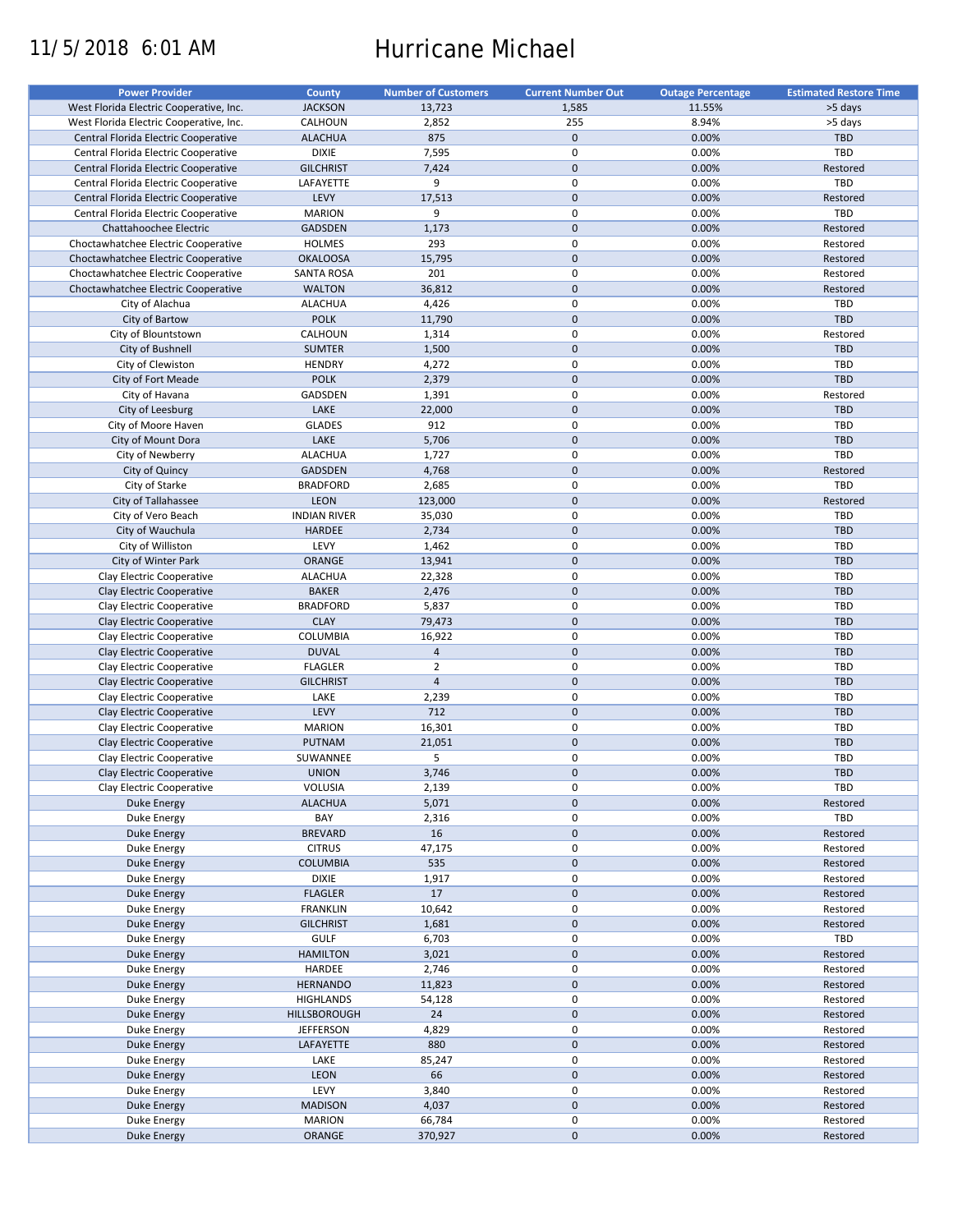# 11/5/2018 6:01 AM Hurricane Michael

| <b>Power Provider</b>                   | <b>County</b>       | <b>Number of Customers</b> | <b>Current Number Out</b> | <b>Outage Percentage</b> | <b>Estimated Restore Time</b> |
|-----------------------------------------|---------------------|----------------------------|---------------------------|--------------------------|-------------------------------|
| West Florida Electric Cooperative, Inc. | <b>JACKSON</b>      | 13,723                     | 1,585                     | 11.55%                   | >5 days                       |
| West Florida Electric Cooperative, Inc. | CALHOUN             | 2,852                      | 255                       | 8.94%                    | >5 days                       |
| Central Florida Electric Cooperative    | <b>ALACHUA</b>      | 875                        | $\mathbf 0$               | 0.00%                    | TBD                           |
|                                         |                     |                            | $\pmb{0}$                 |                          | TBD                           |
| Central Florida Electric Cooperative    | <b>DIXIE</b>        | 7,595                      |                           | 0.00%                    |                               |
| Central Florida Electric Cooperative    | <b>GILCHRIST</b>    | 7,424                      | $\mathbf 0$               | 0.00%                    | Restored                      |
| Central Florida Electric Cooperative    | LAFAYETTE           | 9                          | $\pmb{0}$                 | 0.00%                    | TBD                           |
| Central Florida Electric Cooperative    | LEVY                | 17,513                     | $\mathbf 0$               | 0.00%                    | Restored                      |
| Central Florida Electric Cooperative    | <b>MARION</b>       | 9                          | $\mathbf 0$               | 0.00%                    | TBD                           |
| Chattahoochee Electric                  | <b>GADSDEN</b>      | 1,173                      | $\pmb{0}$                 | 0.00%                    | Restored                      |
| Choctawhatchee Electric Cooperative     | <b>HOLMES</b>       | 293                        | $\pmb{0}$                 | 0.00%                    | Restored                      |
| Choctawhatchee Electric Cooperative     | <b>OKALOOSA</b>     | 15,795                     | $\mathbf 0$               | 0.00%                    | Restored                      |
| Choctawhatchee Electric Cooperative     | <b>SANTA ROSA</b>   | 201                        | $\mathsf 0$               | 0.00%                    | Restored                      |
|                                         |                     |                            |                           |                          |                               |
| Choctawhatchee Electric Cooperative     | <b>WALTON</b>       | 36,812                     | $\mathbf 0$               | 0.00%                    | Restored                      |
| City of Alachua                         | <b>ALACHUA</b>      | 4,426                      | $\pmb{0}$                 | 0.00%                    | TBD                           |
| City of Bartow                          | <b>POLK</b>         | 11,790                     | $\mathbf 0$               | 0.00%                    | TBD                           |
| City of Blountstown                     | CALHOUN             | 1,314                      | $\mathbf 0$               | 0.00%                    | Restored                      |
| City of Bushnell                        | <b>SUMTER</b>       | 1,500                      | $\mathbf 0$               | 0.00%                    | <b>TBD</b>                    |
| City of Clewiston                       | <b>HENDRY</b>       | 4,272                      | $\pmb{0}$                 | 0.00%                    | TBD                           |
| City of Fort Meade                      | <b>POLK</b>         | 2,379                      | $\mathbf 0$               | 0.00%                    | TBD                           |
| City of Havana                          | GADSDEN             | 1,391                      | $\mathsf 0$               | 0.00%                    | Restored                      |
|                                         |                     |                            | $\mathbf 0$               |                          | TBD                           |
| City of Leesburg                        | LAKE                | 22,000                     |                           | 0.00%                    |                               |
| City of Moore Haven                     | <b>GLADES</b>       | 912                        | $\mathsf 0$               | 0.00%                    | TBD                           |
| City of Mount Dora                      | LAKE                | 5,706                      | $\mathbf 0$               | 0.00%                    | TBD                           |
| City of Newberry                        | <b>ALACHUA</b>      | 1,727                      | $\mathbf 0$               | 0.00%                    | TBD                           |
| City of Quincy                          | <b>GADSDEN</b>      | 4,768                      | $\mathbf 0$               | 0.00%                    | Restored                      |
| City of Starke                          | <b>BRADFORD</b>     | 2,685                      | 0                         | 0.00%                    | TBD                           |
| City of Tallahassee                     | <b>LEON</b>         | 123,000                    | $\mathbf 0$               | 0.00%                    | Restored                      |
| City of Vero Beach                      | <b>INDIAN RIVER</b> | 35,030                     | $\mathbf 0$               | 0.00%                    | TBD                           |
| City of Wauchula                        | <b>HARDEE</b>       |                            | $\mathbf 0$               | 0.00%                    | TBD                           |
|                                         |                     | 2,734                      |                           |                          |                               |
| City of Williston                       | LEVY                | 1,462                      | $\mathsf 0$               | 0.00%                    | TBD                           |
| City of Winter Park                     | ORANGE              | 13,941                     | $\mathbf 0$               | 0.00%                    | <b>TBD</b>                    |
| Clay Electric Cooperative               | <b>ALACHUA</b>      | 22,328                     | $\mathbf 0$               | 0.00%                    | TBD                           |
| Clay Electric Cooperative               | <b>BAKER</b>        | 2,476                      | $\mathbf 0$               | 0.00%                    | TBD                           |
| Clay Electric Cooperative               | <b>BRADFORD</b>     | 5,837                      | $\mathsf 0$               | 0.00%                    | TBD                           |
| Clay Electric Cooperative               | <b>CLAY</b>         | 79,473                     | $\pmb{0}$                 | 0.00%                    | TBD                           |
| Clay Electric Cooperative               | COLUMBIA            | 16,922                     | $\pmb{0}$                 | 0.00%                    | TBD                           |
| Clay Electric Cooperative               | <b>DUVAL</b>        | $\overline{4}$             | $\mathbf 0$               | 0.00%                    | <b>TBD</b>                    |
| Clay Electric Cooperative               | <b>FLAGLER</b>      | $\overline{2}$             | $\pmb{0}$                 | 0.00%                    | TBD                           |
|                                         |                     |                            |                           |                          |                               |
| Clay Electric Cooperative               | <b>GILCHRIST</b>    | $\overline{4}$             | $\mathbf 0$               | 0.00%                    | <b>TBD</b>                    |
| Clay Electric Cooperative               | LAKE                | 2,239                      | 0                         | 0.00%                    | TBD                           |
| Clay Electric Cooperative               | LEVY                | 712                        | $\mathbf 0$               | 0.00%                    | TBD                           |
| Clay Electric Cooperative               | <b>MARION</b>       | 16,301                     | $\pmb{0}$                 | 0.00%                    | TBD                           |
| Clay Electric Cooperative               | PUTNAM              | 21,051                     | $\mathbf 0$               | 0.00%                    | TBD                           |
| Clay Electric Cooperative               | SUWANNEE            | 5                          | $\pmb{0}$                 | 0.00%                    | TBD                           |
| Clay Electric Cooperative               | <b>UNION</b>        | 3,746                      | $\mathbf{0}$              | 0.00%                    | TBD                           |
| Clay Electric Cooperative               | VOLUSIA             | 2,139                      | 0                         | 0.00%                    | TBD                           |
|                                         |                     |                            |                           |                          |                               |
| Duke Energy                             | <b>ALACHUA</b>      | 5,071                      | $\pmb{0}$                 | 0.00%                    | Restored                      |
| Duke Energy                             | BAY                 | 2,316                      | 0                         | 0.00%                    | TBD                           |
| <b>Duke Energy</b>                      | <b>BREVARD</b>      | 16                         | $\mathbf 0$               | 0.00%                    | Restored                      |
| Duke Energy                             | <b>CITRUS</b>       | 47,175                     | $\pmb{0}$                 | 0.00%                    | Restored                      |
| <b>Duke Energy</b>                      | <b>COLUMBIA</b>     | 535                        | $\pmb{0}$                 | 0.00%                    | Restored                      |
| Duke Energy                             | <b>DIXIE</b>        | 1,917                      | $\pmb{0}$                 | 0.00%                    | Restored                      |
| Duke Energy                             | <b>FLAGLER</b>      | 17                         | $\mathbf 0$               | 0.00%                    | Restored                      |
| Duke Energy                             | <b>FRANKLIN</b>     | 10,642                     | $\pmb{0}$                 | 0.00%                    | Restored                      |
|                                         |                     |                            |                           |                          |                               |
| <b>Duke Energy</b>                      | <b>GILCHRIST</b>    | 1,681                      | $\pmb{0}$                 | 0.00%                    | Restored                      |
| Duke Energy                             | <b>GULF</b>         | 6,703                      | 0                         | 0.00%                    | TBD                           |
| <b>Duke Energy</b>                      | <b>HAMILTON</b>     | 3,021                      | $\mathbf 0$               | 0.00%                    | Restored                      |
| Duke Energy                             | HARDEE              | 2,746                      | $\pmb{0}$                 | 0.00%                    | Restored                      |
| Duke Energy                             | <b>HERNANDO</b>     | 11,823                     | $\pmb{0}$                 | 0.00%                    | Restored                      |
| Duke Energy                             | <b>HIGHLANDS</b>    | 54,128                     | $\pmb{0}$                 | 0.00%                    | Restored                      |
| Duke Energy                             | HILLSBOROUGH        | 24                         | $\mathbf 0$               | 0.00%                    | Restored                      |
| Duke Energy                             | <b>JEFFERSON</b>    | 4,829                      | $\pmb{0}$                 | 0.00%                    | Restored                      |
|                                         |                     |                            |                           |                          |                               |
| <b>Duke Energy</b>                      | LAFAYETTE           | 880                        | $\pmb{0}$                 | 0.00%                    | Restored                      |
| Duke Energy                             | LAKE                | 85,247                     | $\pmb{0}$                 | 0.00%                    | Restored                      |
| Duke Energy                             | LEON                | 66                         | $\pmb{0}$                 | 0.00%                    | Restored                      |
| Duke Energy                             | LEVY                | 3,840                      | $\pmb{0}$                 | 0.00%                    | Restored                      |
| <b>Duke Energy</b>                      | <b>MADISON</b>      | 4,037                      | $\pmb{0}$                 | 0.00%                    | Restored                      |
| Duke Energy                             | <b>MARION</b>       | 66,784                     | 0                         | 0.00%                    | Restored                      |
| <b>Duke Energy</b>                      | ORANGE              | 370,927                    | $\pmb{0}$                 | 0.00%                    | Restored                      |
|                                         |                     |                            |                           |                          |                               |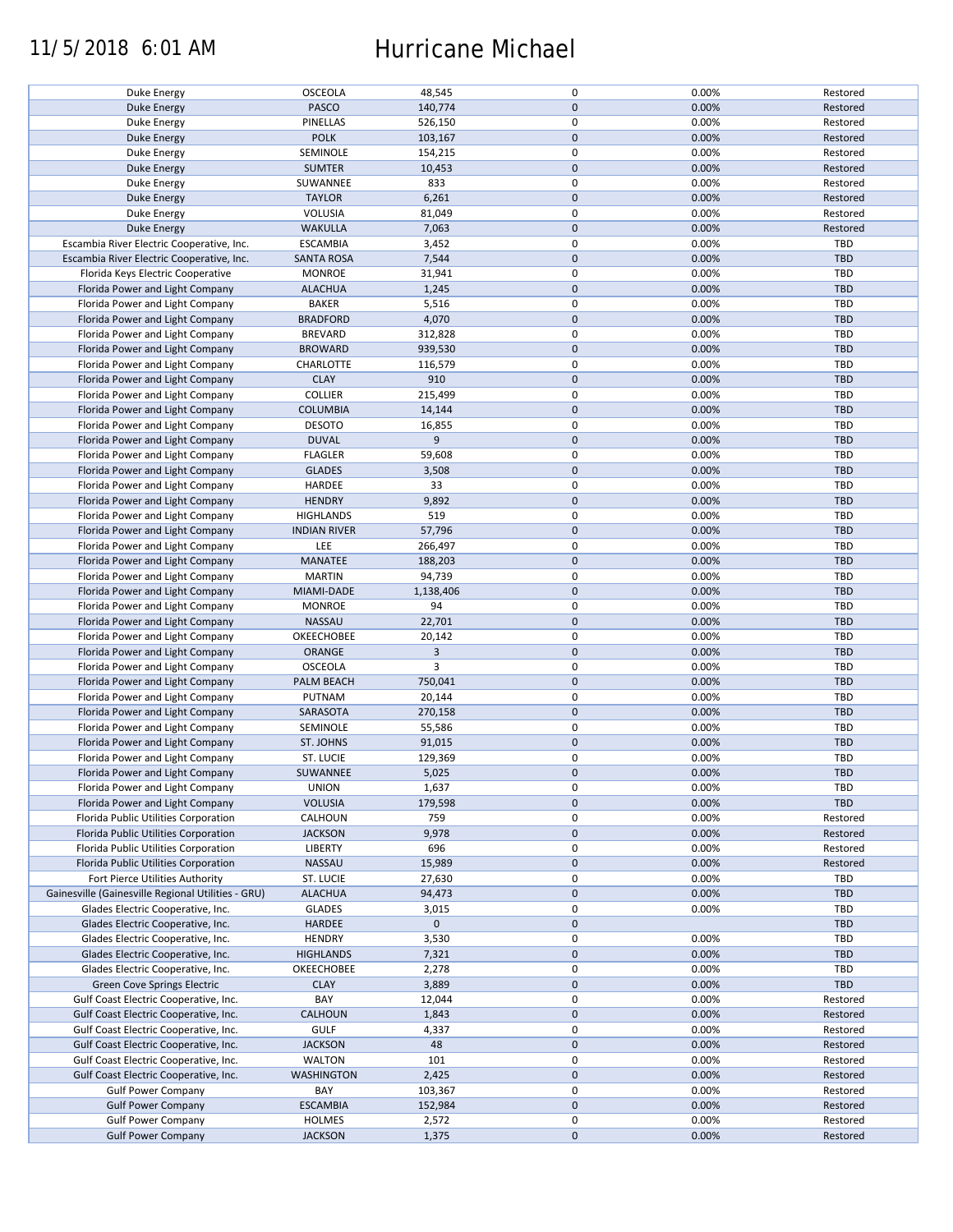### 11/5/2018 6:01 AM Hurricane Michael

| Duke Energy                                        | OSCEOLA             | 48,545      | 0            | 0.00% | Restored   |
|----------------------------------------------------|---------------------|-------------|--------------|-------|------------|
| <b>Duke Energy</b>                                 | <b>PASCO</b>        | 140,774     | $\mathbf 0$  | 0.00% | Restored   |
|                                                    |                     |             |              |       |            |
| Duke Energy                                        | <b>PINELLAS</b>     | 526,150     | $\pmb{0}$    | 0.00% | Restored   |
| <b>Duke Energy</b>                                 | <b>POLK</b>         | 103,167     | $\pmb{0}$    | 0.00% | Restored   |
|                                                    |                     |             | $\pmb{0}$    |       |            |
| Duke Energy                                        | SEMINOLE            | 154,215     |              | 0.00% | Restored   |
| <b>Duke Energy</b>                                 | <b>SUMTER</b>       | 10,453      | $\mathbf 0$  | 0.00% | Restored   |
| Duke Energy                                        | SUWANNEE            | 833         | $\pmb{0}$    | 0.00% | Restored   |
|                                                    |                     |             |              |       |            |
| Duke Energy                                        | <b>TAYLOR</b>       | 6,261       | $\pmb{0}$    | 0.00% | Restored   |
| Duke Energy                                        | VOLUSIA             | 81,049      | 0            | 0.00% | Restored   |
|                                                    |                     |             |              |       |            |
| Duke Energy                                        | <b>WAKULLA</b>      | 7,063       | $\pmb{0}$    | 0.00% | Restored   |
| Escambia River Electric Cooperative, Inc.          | <b>ESCAMBIA</b>     | 3,452       | $\pmb{0}$    | 0.00% | <b>TBD</b> |
|                                                    |                     |             |              |       |            |
| Escambia River Electric Cooperative, Inc.          | <b>SANTA ROSA</b>   | 7,544       | $\mathbf 0$  | 0.00% | <b>TBD</b> |
| Florida Keys Electric Cooperative                  | <b>MONROE</b>       | 31,941      | $\pmb{0}$    | 0.00% | TBD        |
|                                                    |                     |             | $\mathbf 0$  |       |            |
| Florida Power and Light Company                    | <b>ALACHUA</b>      | 1,245       |              | 0.00% | <b>TBD</b> |
| Florida Power and Light Company                    | <b>BAKER</b>        | 5,516       | 0            | 0.00% | <b>TBD</b> |
| Florida Power and Light Company                    | <b>BRADFORD</b>     | 4,070       | $\pmb{0}$    | 0.00% | <b>TBD</b> |
|                                                    |                     |             |              |       |            |
| Florida Power and Light Company                    | <b>BREVARD</b>      | 312,828     | 0            | 0.00% | <b>TBD</b> |
| Florida Power and Light Company                    | <b>BROWARD</b>      | 939,530     | $\pmb{0}$    | 0.00% | <b>TBD</b> |
|                                                    |                     |             |              |       |            |
| Florida Power and Light Company                    | CHARLOTTE           | 116,579     | $\pmb{0}$    | 0.00% | TBD        |
| Florida Power and Light Company                    | <b>CLAY</b>         | 910         | $\pmb{0}$    | 0.00% | <b>TBD</b> |
|                                                    |                     |             |              |       |            |
| Florida Power and Light Company                    | <b>COLLIER</b>      | 215,499     | $\pmb{0}$    | 0.00% | <b>TBD</b> |
| Florida Power and Light Company                    | <b>COLUMBIA</b>     | 14,144      | $\mathbf 0$  | 0.00% | <b>TBD</b> |
|                                                    |                     |             |              |       |            |
| Florida Power and Light Company                    | <b>DESOTO</b>       | 16,855      | $\pmb{0}$    | 0.00% | <b>TBD</b> |
| Florida Power and Light Company                    | <b>DUVAL</b>        | 9           | $\mathbf 0$  | 0.00% | <b>TBD</b> |
|                                                    |                     |             | $\pmb{0}$    |       |            |
| Florida Power and Light Company                    | <b>FLAGLER</b>      | 59,608      |              | 0.00% | <b>TBD</b> |
| Florida Power and Light Company                    | <b>GLADES</b>       | 3,508       | $\pmb{0}$    | 0.00% | TBD        |
| Florida Power and Light Company                    | HARDEE              | 33          | 0            | 0.00% | <b>TBD</b> |
|                                                    |                     |             |              |       |            |
| Florida Power and Light Company                    | <b>HENDRY</b>       | 9,892       | $\mathbf 0$  | 0.00% | <b>TBD</b> |
| Florida Power and Light Company                    | <b>HIGHLANDS</b>    | 519         | $\pmb{0}$    | 0.00% | <b>TBD</b> |
|                                                    |                     |             |              |       |            |
| Florida Power and Light Company                    | <b>INDIAN RIVER</b> | 57,796      | $\mathbf 0$  | 0.00% | <b>TBD</b> |
| Florida Power and Light Company                    | LEE                 | 266,497     | 0            | 0.00% | <b>TBD</b> |
|                                                    |                     |             |              |       |            |
| Florida Power and Light Company                    | <b>MANATEE</b>      | 188,203     | $\mathbf 0$  | 0.00% | <b>TBD</b> |
| Florida Power and Light Company                    | <b>MARTIN</b>       | 94,739      | 0            | 0.00% | TBD        |
|                                                    |                     |             |              |       |            |
| Florida Power and Light Company                    | MIAMI-DADE          | 1,138,406   | $\pmb{0}$    | 0.00% | TBD        |
| Florida Power and Light Company                    | <b>MONROE</b>       | 94          | 0            | 0.00% | <b>TBD</b> |
| Florida Power and Light Company                    | NASSAU              | 22,701      | $\mathbf 0$  | 0.00% | <b>TBD</b> |
|                                                    |                     |             |              |       |            |
| Florida Power and Light Company                    | OKEECHOBEE          | 20,142      | $\pmb{0}$    | 0.00% | <b>TBD</b> |
| Florida Power and Light Company                    | <b>ORANGE</b>       | 3           | $\mathbf 0$  | 0.00% | TBD        |
|                                                    |                     |             |              |       |            |
| Florida Power and Light Company                    | OSCEOLA             | 3           | 0            | 0.00% | TBD        |
| Florida Power and Light Company                    | PALM BEACH          | 750,041     | $\mathbf 0$  | 0.00% | <b>TBD</b> |
|                                                    |                     |             |              |       |            |
| Florida Power and Light Company                    | PUTNAM              | 20,144      | $\pmb{0}$    | 0.00% | <b>TBD</b> |
| Florida Power and Light Company                    | SARASOTA            | 270,158     | $\mathbf 0$  | 0.00% | <b>TBD</b> |
|                                                    |                     |             |              |       |            |
| Florida Power and Light Company                    | SEMINOLE            | 55,586      | 0            | 0.00% | TBD        |
| Florida Power and Light Company                    | ST. JOHNS           | 91,015      | $\mathbf 0$  | 0.00% | <b>TBD</b> |
| Florida Power and Light Company                    | ST. LUCIE           |             | 0            | 0.00% | TBD        |
|                                                    |                     | 129,369     |              |       |            |
| Florida Power and Light Company                    | SUWANNEE            | 5,025       | $\mathbf{0}$ | 0.00% | TBD        |
| Florida Power and Light Company                    | <b>UNION</b>        |             | 0            | 0.00% | TBD        |
|                                                    |                     | 1,637       |              |       |            |
| Florida Power and Light Company                    | <b>VOLUSIA</b>      | 179,598     | $\pmb{0}$    | 0.00% | <b>TBD</b> |
| Florida Public Utilities Corporation               | CALHOUN             | 759         | 0            | 0.00% | Restored   |
|                                                    |                     |             |              |       |            |
| Florida Public Utilities Corporation               | <b>JACKSON</b>      | 9,978       | $\pmb{0}$    | 0.00% | Restored   |
| Florida Public Utilities Corporation               | LIBERTY             | 696         | 0            | 0.00% | Restored   |
| Florida Public Utilities Corporation               | NASSAU              |             | $\mathbf 0$  |       | Restored   |
|                                                    |                     | 15,989      |              | 0.00% |            |
| Fort Pierce Utilities Authority                    | ST. LUCIE           | 27,630      | $\pmb{0}$    | 0.00% | TBD        |
| Gainesville (Gainesville Regional Utilities - GRU) | <b>ALACHUA</b>      | 94,473      | $\pmb{0}$    | 0.00% | <b>TBD</b> |
|                                                    |                     |             |              |       |            |
| Glades Electric Cooperative, Inc.                  | <b>GLADES</b>       | 3,015       | 0            | 0.00% | TBD        |
| Glades Electric Cooperative, Inc.                  | HARDEE              | $\mathbf 0$ | 0            |       | <b>TBD</b> |
|                                                    |                     |             |              |       |            |
| Glades Electric Cooperative, Inc.                  | <b>HENDRY</b>       | 3,530       | $\pmb{0}$    | 0.00% | <b>TBD</b> |
| Glades Electric Cooperative, Inc.                  | <b>HIGHLANDS</b>    | 7,321       | $\pmb{0}$    | 0.00% | <b>TBD</b> |
|                                                    |                     |             |              |       |            |
| Glades Electric Cooperative, Inc.                  | OKEECHOBEE          | 2,278       | 0            | 0.00% | TBD        |
| <b>Green Cove Springs Electric</b>                 | <b>CLAY</b>         | 3,889       | $\mathbf 0$  | 0.00% | <b>TBD</b> |
|                                                    |                     |             |              |       |            |
| Gulf Coast Electric Cooperative, Inc.              | BAY                 | 12,044      | 0            | 0.00% | Restored   |
| Gulf Coast Electric Cooperative, Inc.              | <b>CALHOUN</b>      | 1,843       | 0            | 0.00% | Restored   |
|                                                    |                     |             |              |       |            |
| Gulf Coast Electric Cooperative, Inc.              | <b>GULF</b>         | 4,337       | 0            | 0.00% | Restored   |
| Gulf Coast Electric Cooperative, Inc.              | <b>JACKSON</b>      | 48          | $\mathbf 0$  | 0.00% | Restored   |
| Gulf Coast Electric Cooperative, Inc.              | <b>WALTON</b>       | 101         | 0            | 0.00% | Restored   |
|                                                    |                     |             |              |       |            |
| Gulf Coast Electric Cooperative, Inc.              | WASHINGTON          | 2,425       | $\mathbf 0$  | 0.00% | Restored   |
| <b>Gulf Power Company</b>                          | BAY                 | 103,367     | 0            | 0.00% | Restored   |
|                                                    |                     |             |              |       |            |
| <b>Gulf Power Company</b>                          | <b>ESCAMBIA</b>     | 152,984     | $\mathbf 0$  | 0.00% | Restored   |
| <b>Gulf Power Company</b>                          | <b>HOLMES</b>       | 2,572       | 0            | 0.00% | Restored   |
|                                                    |                     |             |              |       |            |
| <b>Gulf Power Company</b>                          | <b>JACKSON</b>      | 1,375       | $\mathbf 0$  | 0.00% | Restored   |